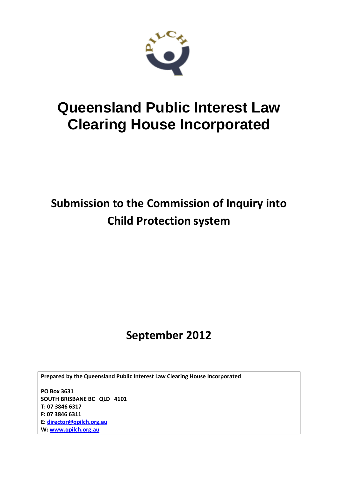

# **Queensland Public Interest Law Clearing House Incorporated**

## **Submission to the Commission of Inquiry into Child Protection system**

## **September 2012**

**Prepared by the Queensland Public Interest Law Clearing House Incorporated**

**PO Box 3631 SOUTH BRISBANE BC QLD 4101 T: 07 3846 6317 F: 07 3846 6311 E: [director@qpilch.org.au](mailto:director@qpilch.org.au) W[: www.qpilch.org.au](http://www.qpilch.org.au/)**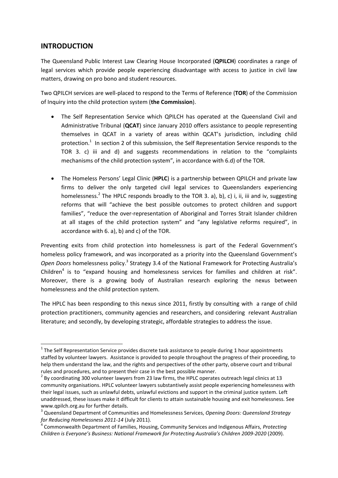## **INTRODUCTION**

1

The Queensland Public Interest Law Clearing House Incorporated (**QPILCH**) coordinates a range of legal services which provide people experiencing disadvantage with access to justice in civil law matters, drawing on pro bono and student resources.

Two QPILCH services are well-placed to respond to the Terms of Reference (**TOR**) of the Commission of Inquiry into the child protection system (**the Commission**).

- The Self Representation Service which QPILCH has operated at the Queensland Civil and Administrative Tribunal (**QCAT**) since January 2010 offers assistance to people representing themselves in QCAT in a variety of areas within QCAT's jurisdiction, including child protection.<sup>1</sup> In section 2 of this submission, the Self Representation Service responds to the TOR 3. c) iii and d) and suggests recommendations in relation to the "complaints mechanisms of the child protection system", in accordance with 6.d) of the TOR.
- The Homeless Persons' Legal Clinic (**HPLC**) is a partnership between QPILCH and private law firms to deliver the only targeted civil legal services to Queenslanders experiencing homelessness.<sup>2</sup> The HPLC responds broadly to the TOR 3. a), b), c) i, ii, iii and iv, suggesting reforms that will "achieve the best possible outcomes to protect children and support families", "reduce the over-representation of Aboriginal and Torres Strait Islander children at all stages of the child protection system" and "any legislative reforms required", in accordance with 6. a), b) and c) of the TOR.

Preventing exits from child protection into homelessness is part of the Federal Government's homeless policy framework, and was incorporated as a priority into the Queensland Government's Open Doors homelessness policy.<sup>3</sup> Strategy 3.4 of the National Framework for Protecting Australia's Children $<sup>4</sup>$  is to "expand housing and homelessness services for families and children at risk".</sup> Moreover, there is a growing body of Australian research exploring the nexus between homelessness and the child protection system.

The HPLC has been responding to this nexus since 2011, firstly by consulting with a range of child protection practitioners, community agencies and researchers, and considering relevant Australian literature; and secondly, by developing strategic, affordable strategies to address the issue.

 $1$  The Self Representation Service provides discrete task assistance to people during 1 hour appointments staffed by volunteer lawyers. Assistance is provided to people throughout the progress of their proceeding, to help them understand the law, and the rights and perspectives of the other party, observe court and tribunal rules and procedures, and to present their case in the best possible manner.

 $^2$  By coordinating 300 volunteer lawyers from 23 law firms, the HPLC operates outreach legal clinics at 13 community organisations. HPLC volunteer lawyers substantively assist people experiencing homelessness with their legal issues, such as unlawful debts, unlawful evictions and support in the criminal justice system. Left unaddressed, these issues make it difficult for clients to attain sustainable housing and exit homelessness. See [www.qpilch.org.au](http://www.qpilch.org.au/) for further details.

<sup>3</sup> Queensland Department of Communities and Homelessness Services, *Opening Doors: Queensland Strategy for Reducing Homelessness 2011-14* (July 2011).

<sup>4</sup> Commonwealth Department of Families, Housing, Community Services and Indigenous Affairs, *Protecting Children is Everyone's Business: National Framework for Protecting Australia's Children 2009-2020* (2009).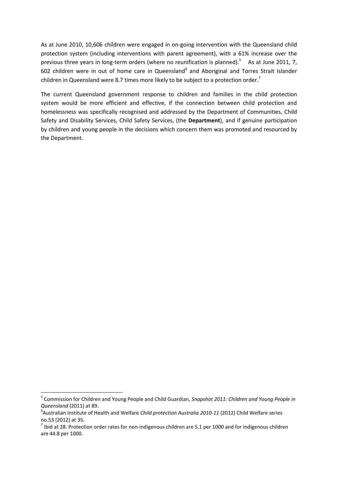As at June 2010, 10,606 children were engaged in on-going intervention with the Queensland child protection system (including interventions with parent agreement), with a 61% increase over the previous three years in long-term orders (where no reunification is planned).<sup>5</sup> As at June 2011, 7, 602 children were in out of home care in Queensland<sup>6</sup> and Aboriginal and Torres Strait Islander children in Queensland were 8.7 times more likely to be subject to a protection order.<sup>7</sup>

The current Queensland government response to children and families in the child protection system would be more efficient and effective, if the connection between child protection and homelessness was specifically recognised and addressed by the Department of Communities, Child Safety and Disability Services, Child Safety Services, (the **Department**), and if genuine participation by children and young people in the decisions which concern them was promoted and resourced by the Department.

<sup>5</sup> Commission for Children and Young People and Child Guardian, *Snapshot 2011: Children and Young People in Queensland* (2011) at 89.

<sup>6</sup> Australian Institute of Health and Welfare *Child protection Australia 2010-11* (2012) Child Welfare series no.53 (2012) at 35.

 $<sup>7</sup>$  Ibid at 28. Protection order rates for non-indigenous children are 5.1 per 1000 and for indigenous children</sup> are 44.8 per 1000.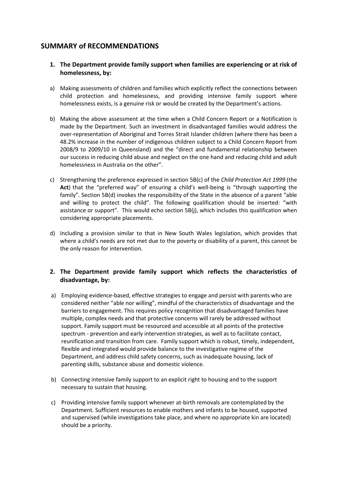## **SUMMARY of RECOMMENDATIONS**

- **1. The Department provide family support when families are experiencing or at risk of homelessness, by:**
- a) Making assessments of children and families which explicitly reflect the connections between child protection and homelessness, and providing intensive family support where homelessness exists, is a genuine risk or would be created by the Department's actions.
- b) Making the above assessment at the time when a Child Concern Report or a Notification is made by the Department. Such an investment in disadvantaged families would address the over-representation of Aboriginal and Torres Strait Islander children (where there has been a 48.2% increase in the number of indigenous children subject to a Child Concern Report from 2008/9 to 2009/10 in Queensland) and the "direct and fundamental relationship between our success in reducing child abuse and neglect on the one hand and reducing child and adult homelessness in Australia on the other".
- c) Strengthening the preference expressed in section 5B(c) of the *Child Protection Act 1999* (the **Act**) that the "preferred way" of ensuring a child's well-being is "through supporting the family". Section 5B(d) invokes the responsibility of the State in the absence of a parent "able and willing to protect the child". The following qualification should be inserted: "with assistance or support". This would echo section 5B(j), which includes this qualification when considering appropriate placements.
- d) Including a provision similar to that in New South Wales legislation, which provides that where a child's needs are not met due to the poverty or disability of a parent, this cannot be the only reason for intervention.

## **2. The Department provide family support which reflects the characteristics of disadvantage, by:**

- a) Employing evidence-based, effective strategies to engage and persist with parents who are considered neither "able nor willing", mindful of the characteristics of disadvantage and the barriers to engagement. This requires policy recognition that disadvantaged families have multiple, complex needs and that protective concerns will rarely be addressed without support. Family support must be resourced and accessible at all points of the protective spectrum - prevention and early intervention strategies, as well as to facilitate contact, reunification and transition from care. Family support which is robust, timely, independent, flexible and integrated would provide balance to the investigative regime of the Department, and address child safety concerns, such as inadequate housing, lack of parenting skills, substance abuse and domestic violence.
- b) Connecting intensive family support to an explicit right to housing and to the support necessary to sustain that housing.
- c) Providing intensive family support whenever at-birth removals are contemplated by the Department. Sufficient resources to enable mothers and infants to be housed, supported and supervised (while investigations take place, and where no appropriate kin are located) should be a priority.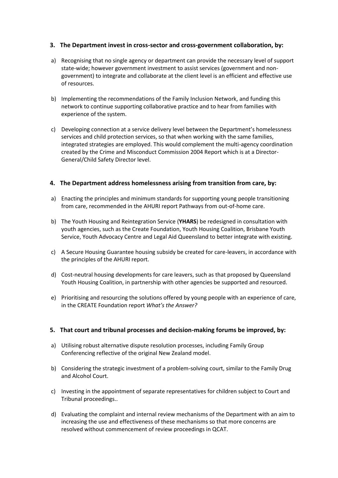## **3. The Department invest in cross-sector and cross-government collaboration, by:**

- a) Recognising that no single agency or department can provide the necessary level of support state-wide; however government investment to assist services (government and nongovernment) to integrate and collaborate at the client level is an efficient and effective use of resources.
- b) Implementing the recommendations of the Family Inclusion Network, and funding this network to continue supporting collaborative practice and to hear from families with experience of the system.
- c) Developing connection at a service delivery level between the Department's homelessness services and child protection services, so that when working with the same families, integrated strategies are employed. This would complement the multi-agency coordination created by the Crime and Misconduct Commission 2004 Report which is at a Director-General/Child Safety Director level.

## **4. The Department address homelessness arising from transition from care, by:**

- a) Enacting the principles and minimum standards for supporting young people transitioning from care, recommended in the AHURI report Pathways from out-of-home care.
- b) The Youth Housing and Reintegration Service (**YHARS**) be redesigned in consultation with youth agencies, such as the Create Foundation, Youth Housing Coalition, Brisbane Youth Service, Youth Advocacy Centre and Legal Aid Queensland to better integrate with existing.
- c) A Secure Housing Guarantee housing subsidy be created for care-leavers, in accordance with the principles of the AHURI report.
- d) Cost-neutral housing developments for care leavers, such as that proposed by Queensland Youth Housing Coalition, in partnership with other agencies be supported and resourced.
- e) Prioritising and resourcing the solutions offered by young people with an experience of care, in the CREATE Foundation report *What's the Answer?*

## **5. That court and tribunal processes and decision-making forums be improved, by:**

- a) Utilising robust alternative dispute resolution processes, including Family Group Conferencing reflective of the original New Zealand model.
- b) Considering the strategic investment of a problem-solving court, similar to the Family Drug and Alcohol Court.
- c) Investing in the appointment of separate representatives for children subject to Court and Tribunal proceedings..
- d) Evaluating the complaint and internal review mechanisms of the Department with an aim to increasing the use and effectiveness of these mechanisms so that more concerns are resolved without commencement of review proceedings in QCAT.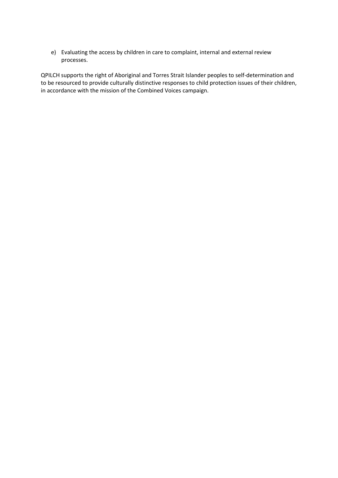e) Evaluating the access by children in care to complaint, internal and external review processes.

QPILCH supports the right of Aboriginal and Torres Strait Islander peoples to self-determination and to be resourced to provide culturally distinctive responses to child protection issues of their children, in accordance with the mission of the Combined Voices campaign.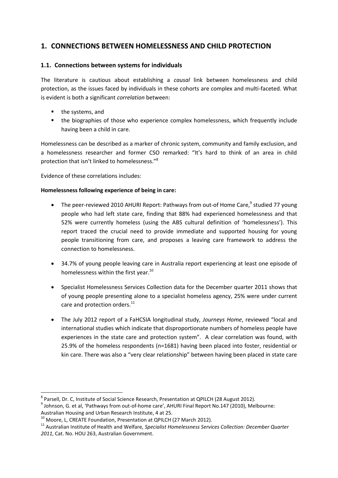## **1. CONNECTIONS BETWEEN HOMELESSNESS AND CHILD PROTECTION**

## **1.1. Connections between systems for individuals**

The literature is cautious about establishing a *causal* link between homelessness and child protection, as the issues faced by individuals in these cohorts are complex and multi-faceted. What is evident is both a significant *correlation* between:

- the systems, and
- the biographies of those who experience complex homelessness, which frequently include having been a child in care.

Homelessness can be described as a marker of chronic system, community and family exclusion, and a homelessness researcher and former CSO remarked: "It's hard to think of an area in child protection that isn't linked to homelessness."<sup>8</sup>

Evidence of these correlations includes:

#### **Homelessness following experience of being in care:**

- The peer-reviewed 2010 AHURI Report: Pathways from out-of Home Care,<sup>9</sup> studied 77 young people who had left state care, finding that 88% had experienced homelessness and that 52% were currently homeless (using the ABS cultural definition of 'homelessness'). This report traced the crucial need to provide immediate and supported housing for young people transitioning from care, and proposes a leaving care framework to address the connection to homelessness.
- 34.7% of young people leaving care in Australia report experiencing at least one episode of homelessness within the first year.<sup>10</sup>
- Specialist Homelessness Services Collection data for the December quarter 2011 shows that of young people presenting alone to a specialist homeless agency, 25% were under current care and protection orders.<sup>11</sup>
- The July 2012 report of a FaHCSIA longitudinal study, *Journeys Home*, reviewed "local and international studies which indicate that disproportionate numbers of homeless people have experiences in the state care and protection system". A clear correlation was found, with 25.9% of the homeless respondents (n=1681) having been placed into foster, residential or kin care. There was also a "very clear relationship" between having been placed in state care

 8 Parsell, Dr. C, Institute of Social Science Research, Presentation at QPILCH (28 August 2012).

 $^{9}$  Johnson, G. et al, 'Pathways from out-of-home care', AHURI Final Report No.147 (2010), Melbourne: Australian Housing and Urban Research Institute, 4 at 25.

<sup>&</sup>lt;sup>10</sup> Moore, L, CREATE Foundation, Presentation at QPILCH (27 March 2012).

<sup>11</sup> Australian Institute of Health and Welfare*, Specialist Homelessness Services Collection: December Quarter 2011*, Cat. No. HOU 263, Australian Government.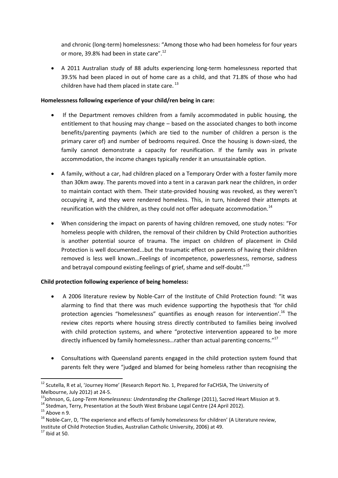and chronic (long-term) homelessness: "Among those who had been homeless for four years or more, 39.8% had been in state care".<sup>12</sup>

 A 2011 Australian study of 88 adults experiencing long-term homelessness reported that 39.5% had been placed in out of home care as a child, and that 71.8% of those who had children have had them placed in state care.<sup>13</sup>

## **Homelessness following experience of your child/ren being in care:**

- If the Department removes children from a family accommodated in public housing, the entitlement to that housing may change – based on the associated changes to both income benefits/parenting payments (which are tied to the number of children a person is the primary carer of) and number of bedrooms required. Once the housing is down-sized, the family cannot demonstrate a capacity for reunification. If the family was in private accommodation, the income changes typically render it an unsustainable option.
- A family, without a car, had children placed on a Temporary Order with a foster family more than 30km away. The parents moved into a tent in a caravan park near the children, in order to maintain contact with them. Their state-provided housing was revoked, as they weren't occupying it, and they were rendered homeless. This, in turn, hindered their attempts at reunification with the children, as they could not offer adequate accommodation.<sup>14</sup>
- When considering the impact on parents of having children removed, one study notes: "For homeless people with children, the removal of their children by Child Protection authorities is another potential source of trauma. The impact on children of placement in Child Protection is well documented...but the traumatic effect on parents of having their children removed is less well known…Feelings of incompetence, powerlessness, remorse, sadness and betrayal compound existing feelings of grief, shame and self-doubt."<sup>15</sup>

## **Child protection following experience of being homeless:**

- A 2006 literature review by Noble-Carr of the Institute of Child Protection found: "it was alarming to find that there was much evidence supporting the hypothesis that 'for child protection agencies "homelessness" quantifies as enough reason for intervention'.<sup>16</sup> The review cites reports where housing stress directly contributed to families being involved with child protection systems, and where "protective intervention appeared to be more directly influenced by family homelessness...rather than actual parenting concerns."<sup>17</sup>
- Consultations with Queensland parents engaged in the child protection system found that parents felt they were "judged and blamed for being homeless rather than recognising the

<sup>&</sup>lt;sup>12</sup> Scutella, R et al, 'Journey Home' (Research Report No. 1, Prepared for FaCHSIA, The University of Melbourne, July 2012) at 24-5.

<sup>13</sup>Johnson, G, *Long-Term Homelessness: Understanding the Challenge* (2011), Sacred Heart Mission at 9.

<sup>&</sup>lt;sup>14</sup> Stedman, Terry, Presentation at the South West Brisbane Legal Centre (24 April 2012).

 $15$  Above n 9.

<sup>&</sup>lt;sup>16</sup> Noble-Carr, D, 'The experience and effects of family homelessness for children' (A Literature review, Institute of Child Protection Studies, Australian Catholic University, 2006) at 49.

 $17$  Ibid at 50.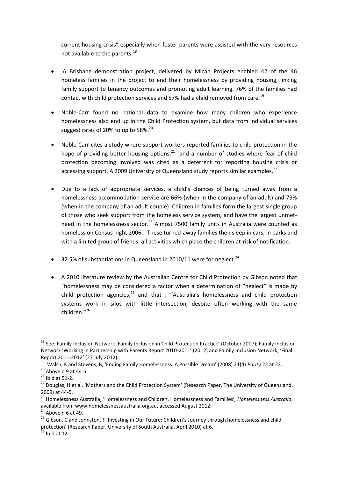current housing crisis" especially when foster parents were assisted with the very resources not available to the parents.<sup>18</sup>

- A Brisbane demonstration project, delivered by Micah Projects enabled 42 of the 46 homeless families in the project to end their homelessness by providing housing, linking family support to tenancy outcomes and promoting adult learning. 76% of the families had contact with child protection services and 57% had a child removed from care.<sup>19</sup>
- Noble-Carr found no national data to examine how many children who experience homelessness also end up in the Child Protection system, but data from individual services suggest rates of 20% to up to 58%.<sup>20</sup>
- Noble-Carr cites a study where support workers reported families to child protection in the hope of providing better housing options, $21$  and a number of studies where fear of child protection becoming involved was cited as a deterrent for reporting housing crisis or accessing support. A 2009 University of Queensland study reports similar examples.<sup>22</sup>
- Due to a lack of appropriate services, a child's chances of being turned away from a homelessness accommodation service are 66% (when in the company of an adult) and 79% (when in the company of an adult couple). Children in families form the largest single group of those who seek support from the homeless service system, and have the largest unmetneed in the homelessness sector.<sup>23</sup> Almost 7500 family units in Australia were counted as homeless on Census night 2006. These turned-away families then sleep in cars, in parks and with a limited group of friends, all activities which place the children at-risk of notification.
- 32.5% of substantiations in Queensland in 2010/11 were for neglect. $^{24}$
- A 2010 literature review by the Australian Centre for Child Protection by Gibson noted that "homelessness may be considered a factor when a determination of "neglect" is made by child protection agencies, $^{25}$  and that : "Australia's homelessness and child protection systems work in silos with little intersection, despite often working with the same children."<sup>26</sup>

 $\overline{a}$ 

<sup>&</sup>lt;sup>18</sup> See: Family Inclusion Network 'Family Inclusion in Child Protection Practice' (October 2007); Family Inclusion Network 'Working in Partnership with Parents Report 2010-2011' (2012) and Family Inclusion Network, 'Final Report 2011-2012' (27 July 2012).

<sup>19</sup> Walsh, K and Stevens, B, 'Ending Family Homelessness: A Possible Dream' (2008) 21(4) *Parity* 22 at 22.

 $20$  Above n 9 at 44-5.

 $21$  Ibid at 51-2.

<sup>&</sup>lt;sup>22</sup> Douglas, H et al, 'Mothers and the Child Protection System' (Research Paper, The University of Queensland, 2009) at 44-5.

<sup>23</sup> Homelessness Australia, 'Homelessness and Children, Homelessness and Families'*, Homelessness Australia*, available fro[m www.homelessnessaustralia.org.au,](http://www.homelessnessaustralia.org.au/) accessed August 2012.

 $24$  Above n 6 at 49.

<sup>&</sup>lt;sup>25</sup> Gibson, C and Johnston, T 'Investing in Our Future: Children's Journey through homelessness and child protection' (Research Paper, University of South Australia, April 2010) at 6.

 $26$  Ibid at 12.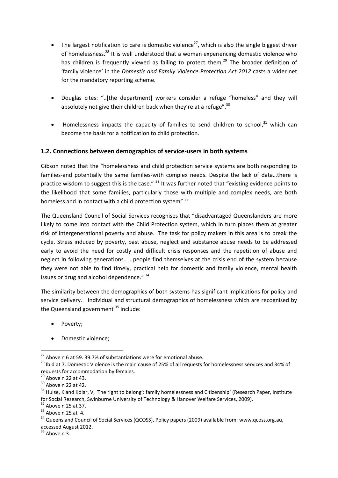- The largest notification to care is domestic violence<sup>27</sup>, which is also the single biggest driver of homelessness.<sup>28</sup> It is well understood that a woman experiencing domestic violence who has children is frequently viewed as failing to protect them.<sup>29</sup> The broader definition of 'family violence' in the *Domestic and Family Violence Protection Act 2012* casts a wider net for the mandatory reporting scheme.
- Douglas cites: "..[the department] workers consider a refuge "homeless" and they will absolutely not give their children back when they're at a refuge". $30$
- $\bullet$  Homelessness impacts the capacity of families to send children to school, $^{31}$  which can become the basis for a notification to child protection.

## **1.2. Connections between demographics of service-users in both systems**

Gibson noted that the "homelessness and child protection service systems are both responding to families-and potentially the same families-with complex needs. Despite the lack of data…there is practice wisdom to suggest this is the case."  $32$  It was further noted that "existing evidence points to the likelihood that some families, particularly those with multiple and complex needs, are both homeless and in contact with a child protection system".<sup>33</sup>

The Queensland Council of Social Services recognises that "disadvantaged Queenslanders are more likely to come into contact with the Child Protection system, which in turn places them at greater risk of intergenerational poverty and abuse. The task for policy makers in this area is to break the cycle. Stress induced by poverty, past abuse, neglect and substance abuse needs to be addressed early to avoid the need for costly and difficult crisis responses and the repetition of abuse and neglect in following generations….. people find themselves at the crisis end of the system because they were not able to find timely, practical help for domestic and family violence, mental health issues or drug and alcohol dependence." 34

The similarity between the demographics of both systems has significant implications for policy and service delivery. Individual and structural demographics of homelessness which are recognised by the Queensland government  $35$  include:

- Poverty;
- Domestic violence;

 $\overline{a}$ 

 $35$  Above n 3.

 $^{27}$  Above n 6 at 59. 39.7% of substantiations were for emotional abuse.

<sup>&</sup>lt;sup>28</sup> Ibid at 7. Domestic Violence is the main cause of 25% of all requests for homelessness services and 34% of requests for accommodation by females.

 $29$  Above n 22 at 43.

 $30$  Above n 22 at 42.

<sup>31</sup> Hulse, K and Kolar, V, *'*The right to belong': family homelessness and Citizenship*'* (Research Paper, Institute for Social Research, Swinburne University of Technology & Hanover Welfare Services, 2009).

 $32$  Above n 25 at 37.

 $33$  Above n 25 at 4.

<sup>&</sup>lt;sup>34</sup> Queensland Council of Social Services (QCOSS), Policy papers (2009) available from: [www.qcoss.org.au,](http://www.qcoss.org.au/) accessed August 2012.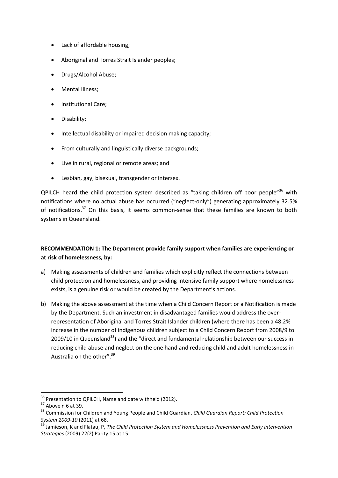- Lack of affordable housing;
- Aboriginal and Torres Strait Islander peoples;
- Drugs/Alcohol Abuse;
- Mental Illness;
- Institutional Care;
- Disability;
- Intellectual disability or impaired decision making capacity;
- From culturally and linguistically diverse backgrounds;
- Live in rural, regional or remote areas; and
- Lesbian, gay, bisexual, transgender or intersex.

QPILCH heard the child protection system described as "taking children off poor people"<sup>36</sup> with notifications where no actual abuse has occurred ("neglect-only") generating approximately 32.5% of notifications.<sup>37</sup> On this basis, it seems common-sense that these families are known to both systems in Queensland.

## **RECOMMENDATION 1: The Department provide family support when families are experiencing or at risk of homelessness, by:**

- a) Making assessments of children and families which explicitly reflect the connections between child protection and homelessness, and providing intensive family support where homelessness exists, is a genuine risk or would be created by the Department's actions.
- b) Making the above assessment at the time when a Child Concern Report or a Notification is made by the Department. Such an investment in disadvantaged families would address the overrepresentation of Aboriginal and Torres Strait Islander children (where there has been a 48.2% increase in the number of indigenous children subject to a Child Concern Report from 2008/9 to 2009/10 in Queensland<sup>38</sup>) and the "direct and fundamental relationship between our success in reducing child abuse and neglect on the one hand and reducing child and adult homelessness in Australia on the other".<sup>39</sup>

 $36$  Presentation to QPILCH, Name and date withheld (2012).

 $37$  Above n 6 at 39.

<sup>38</sup> Commission for Children and Young People and Child Guardian, *Child Guardian Report: Child Protection System 2009-10* (2011) at 68.

<sup>39</sup> Jamieson, K and Flatau, P, *The Child Protection System and Homelessness Prevention and Early Intervention Strategies* (2009) 22(2) Parity 15 at 15.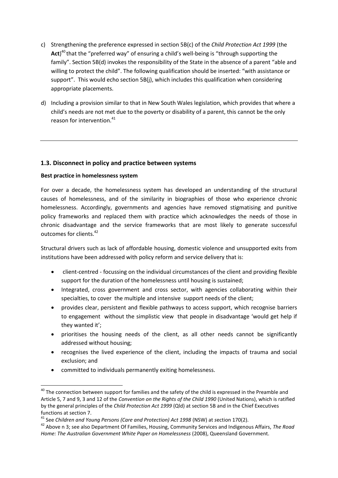- c) Strengthening the preference expressed in section 5B(c) of the *Child Protection Act 1999* (the Act)<sup>40</sup> that the "preferred way" of ensuring a child's well-being is "through supporting the family". Section 5B(d) invokes the responsibility of the State in the absence of a parent "able and willing to protect the child". The following qualification should be inserted: "with assistance or support". This would echo section 5B(j), which includes this qualification when considering appropriate placements.
- d) Including a provision similar to that in New South Wales legislation, which provides that where a child's needs are not met due to the poverty or disability of a parent, this cannot be the only reason for intervention.<sup>41</sup>

## **1.3. Disconnect in policy and practice between systems**

## **Best practice in homelessness system**

 $\overline{a}$ 

For over a decade, the homelessness system has developed an understanding of the structural causes of homelessness, and of the similarity in biographies of those who experience chronic homelessness. Accordingly, governments and agencies have removed stigmatising and punitive policy frameworks and replaced them with practice which acknowledges the needs of those in chronic disadvantage and the service frameworks that are most likely to generate successful outcomes for clients.<sup>42</sup>

Structural drivers such as lack of affordable housing, domestic violence and unsupported exits from institutions have been addressed with policy reform and service delivery that is:

- client-centred focussing on the individual circumstances of the client and providing flexible support for the duration of the homelessness until housing is sustained;
- Integrated, cross government and cross sector, with agencies collaborating within their specialties, to cover the multiple and intensive support needs of the client;
- provides clear, persistent and flexible pathways to access support, which recognise barriers to engagement without the simplistic view that people in disadvantage 'would get help if they wanted it';
- prioritises the housing needs of the client, as all other needs cannot be significantly addressed without housing;
- recognises the lived experience of the client, including the impacts of trauma and social exclusion; and
- committed to individuals permanently exiting homelessness.

 $^{40}$  The connection between support for families and the safety of the child is expressed in the Preamble and Article 5, 7 and 9, 3 and 12 of the *Convention on the Rights of the Child 1990* (United Nations), which is ratified by the general principles of the *Child Protection Act 1999* (Qld) at section 5B and in the Chief Executives functions at section 7.

<sup>41</sup> See *Children and Young Persons (Care and Protection) Act 1998* (NSW) at *s*ection 170(2).

<sup>42</sup> Above n 3; see also Department Of Families, Housing, Community Services and Indigenous Affairs, *The Road Home: The Australian Government White Paper on Homelessness* (2008), Queensland Government.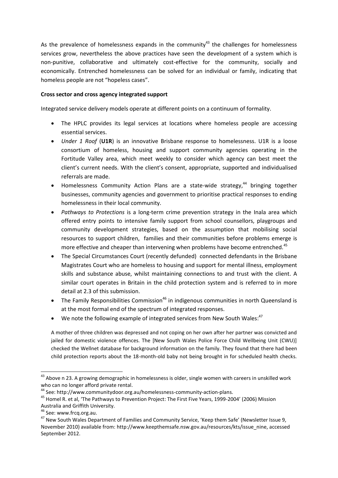As the prevalence of homelessness expands in the community<sup>43</sup> the challenges for homelessness services grow, nevertheless the above practices have seen the development of a system which is non-punitive, collaborative and ultimately cost-effective for the community, socially and economically. Entrenched homelessness can be solved for an individual or family, indicating that homeless people are not "hopeless cases".

#### **Cross sector and cross agency integrated support**

Integrated service delivery models operate at different points on a continuum of formality.

- The HPLC provides its legal services at locations where homeless people are accessing essential services.
- *Under 1 Roof* (**U1R**) is an innovative Brisbane response to homelessness. U1R is a loose consortium of homeless, housing and support community agencies operating in the Fortitude Valley area, which meet weekly to consider which agency can best meet the client's current needs. With the client's consent, appropriate, supported and individualised referrals are made.
- Homelessness Community Action Plans are a state-wide strategy,<sup>44</sup> bringing together businesses, community agencies and government to prioritise practical responses to ending homelessness in their local community.
- *Pathways to Protections* is a long-term crime prevention strategy in the Inala area which offered entry points to intensive family support from school counsellors, playgroups and community development strategies, based on the assumption that mobilising social resources to support children, families and their communities before problems emerge is more effective and cheaper than intervening when problems have become entrenched.<sup>45</sup>
- The Special Circumstances Court (recently defunded) connected defendants in the Brisbane Magistrates Court who are homeless to housing and support for mental illness, employment skills and substance abuse, whilst maintaining connections to and trust with the client. A similar court operates in Britain in the child protection system and is referred to in more detail at 2.3 of this submission.
- The Family Responsibilities Commission<sup>46</sup> in indigenous communities in north Queensland is at the most formal end of the spectrum of integrated responses.
- $\bullet$  We note the following example of integrated services from New South Wales:<sup>47</sup>

A mother of three children was depressed and not coping on her own after her partner was convicted and jailed for domestic violence offences. The [New South Wales Police Force Child Wellbeing Unit (CWU)] checked the Wellnet database for background information on the family. They found that there had been child protection reports about the 18-month-old baby not being brought in for scheduled health checks.

1

 $^{43}$  Above n 23. A growing demographic in homelessness is older, single women with careers in unskilled work who can no longer afford private rental.

<sup>44</sup> See: [http://www.communitydoor.org.au/homelessness-community-action-plans.](http://www.communitydoor.org.au/homelessness-community-action-plans)

<sup>45</sup> Homel R. et al, 'The Pathways to Prevention Project: The First Five Years, 1999-2004' (2006) Mission Australia and Griffith University.

<sup>&</sup>lt;sup>46</sup> See: [www.frcq.org.au.](http://www.frcq.org.au/)

<sup>47</sup> New South Wales Department of Families and Community Service, 'Keep them Safe' (Newsletter Issue 9, November 2010) available from: [http://www.keepthemsafe.nsw.gov.au/resources/kts/issue\\_nine,](http://www.keepthemsafe.nsw.gov.au/resources/kts/issue_nine) accessed September 2012.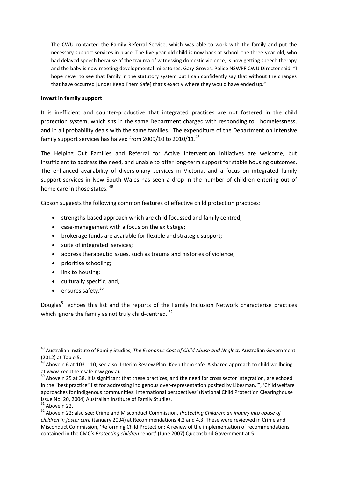The CWU contacted the Family Referral Service, which was able to work with the family and put the necessary support services in place. The five-year-old child is now back at school, the three-year-old, who had delayed speech because of the trauma of witnessing domestic violence, is now getting speech therapy and the baby is now meeting developmental milestones. Gary Groves, Police NSWPF CWU Director said, "I hope never to see that family in the statutory system but I can confidently say that without the changes that have occurred [under Keep Them Safe] that's exactly where they would have ended up."

#### **Invest in family support**

It is inefficient and counter-productive that integrated practices are not fostered in the child protection system, which sits in the same Department charged with responding to homelessness, and in all probability deals with the same families. The expenditure of the Department on Intensive family support services has halved from 2009/10 to 2010/11.<sup>48</sup>

The Helping Out Families and Referral for Active Intervention Initiatives are welcome, but insufficient to address the need, and unable to offer long-term support for stable housing outcomes. The enhanced availability of diversionary services in Victoria, and a focus on integrated family support services in New South Wales has seen a drop in the number of children entering out of home care in those states.<sup>49</sup>

Gibson suggests the following common features of effective child protection practices:

- strengths-based approach which are child focussed and family centred;
- case-management with a focus on the exit stage;
- brokerage funds are available for flexible and strategic support;
- suite of integrated services;
- address therapeutic issues, such as trauma and histories of violence;
- prioritise schooling;
- link to housing;
- culturally specific; and,
- ensures safety.<sup>50</sup>

Douglas<sup>51</sup> echoes this list and the reports of the Family Inclusion Network characterise practices which ignore the family as not truly child-centred. <sup>52</sup>

1

<sup>48</sup> Australian Institute of Family Studies, *The Economic Cost of Child Abuse and Neglect,* Australian Government (2012) at Table 5.

 $49$  Above n 6 at 103, 110; see also: Interim Review Plan: Keep them safe. A shared approach to child wellbeing a[t www.keepthemsafe.nsw.gov.au.](http://www.keepthemsafe.nsw.gov.au/)

<sup>&</sup>lt;sup>50</sup> Above n 25 at 38. It is significant that these practices, and the need for cross sector integration, are echoed in the "best practice" list for addressing indigenous over-representation posited by Libesman, T, 'Child welfare approaches for indigenous communities: International perspectives' (National Child Protection Clearinghouse Issue No. 20, 2004) Australian Institute of Family Studies.

 $51$  Above n 22.

<sup>52</sup> Above n 22; also see: Crime and Misconduct Commission, *Protecting Children: an inquiry into abuse of children in foster care* (January 2004) at Recommendations 4.2 and 4.3. These were reviewed in Crime and Misconduct Commission, 'Reforming Child Protection: A review of the implementation of recommendations contained in the CMC's *Protecting children* report' (June 2007) Queensland Government at 5.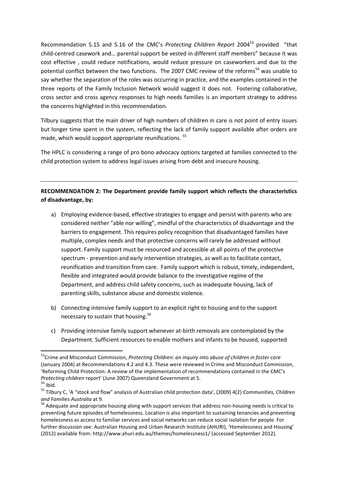Recommendation 5.15 and 5.16 of the CMC's *Protecting Children Report* 2004<sup>53</sup> provided "that child-centred casework and… parental support be vested in different staff members" because it was cost effective , could reduce notifications, would reduce pressure on caseworkers and due to the potential conflict between the two functions. The 2007 CMC review of the reforms<sup>54</sup> was unable to say whether the separation of the roles was occurring in practice, and the examples contained in the three reports of the Family Inclusion Network would suggest it does not. Fostering collaborative, cross sector and cross agency responses to high needs families is an important strategy to address the concerns highlighted in this recommendation.

Tilbury suggests that the main driver of high numbers of children in care is not point of entry issues but longer time spent in the system, reflecting the lack of family support available after orders are made, which would support appropriate reunifications. <sup>55</sup>

The HPLC is considering a range of pro bono advocacy options targeted at families connected to the child protection system to address legal issues arising from debt and insecure housing.

## **RECOMMENDATION 2: The Department provide family support which reflects the characteristics of disadvantage, by:**

- a) Employing evidence-based, effective strategies to engage and persist with parents who are considered neither "able nor willing", mindful of the characteristics of disadvantage and the barriers to engagement. This requires policy recognition that disadvantaged families have multiple, complex needs and that protective concerns will rarely be addressed without support. Family support must be resourced and accessible at all points of the protective spectrum - prevention and early intervention strategies, as well as to facilitate contact, reunification and transition from care. Family support which is robust, timely, independent, flexible and integrated would provide balance to the investigative regime of the Department, and address child safety concerns, such as inadequate housing, lack of parenting skills, substance abuse and domestic violence.
- b) Connecting intensive family support to an explicit right to housing and to the support necessary to sustain that housing.<sup>56</sup>
- c) Providing intensive family support whenever at-birth removals are contemplated by the Department. Sufficient resources to enable mothers and infants to be housed, supported

 $54$  Ibid.

 $\overline{a}$ 

<sup>53</sup>Crime and Misconduct Commission, *Protecting Children: an inquiry into abuse of children in foster care* (January 2004) at Recommendations 4.2 and 4.3. These were reviewed in Crime and Misconduct Commission, 'Reforming Child Protection: A review of the implementation of recommendations contained in the CMC's *Protecting children* report' (June 2007) Queensland Government at 5.

<sup>55</sup> Tilbury C, 'A "stock and flow" analysis of Australian child protection data', (2009) 4(2) *Communities, Children and Families Australia* at 9.

<sup>&</sup>lt;sup>56</sup> Adequate and appropriate housing along with support services that address non-housing needs is critical to preventing future episodes of homelessness. Location is also important to sustaining tenancies and preventing homelessness as access to familiar services and social networks can reduce social isolation for people. For further discussion see: Australian Housing and Urban Research Institute (AHURI), 'Homelessness and Housing' (2012) available from[: http://www.ahuri.edu.au/themes/homelessness1/](http://www.ahuri.edu.au/themes/homelessness1/) (accessed September 2012).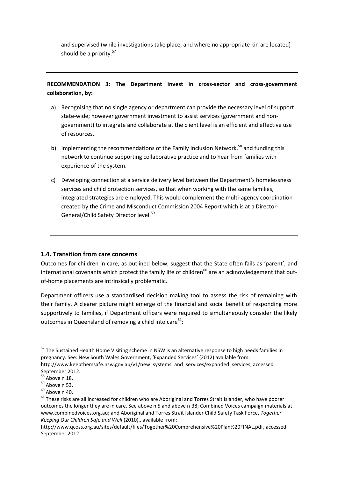and supervised (while investigations take place, and where no appropriate kin are located) should be a priority.<sup>57</sup>

## **RECOMMENDATION 3: The Department invest in cross-sector and cross-government collaboration, by:**

- a) Recognising that no single agency or department can provide the necessary level of support state-wide; however government investment to assist services (government and nongovernment) to integrate and collaborate at the client level is an efficient and effective use of resources.
- b) Implementing the recommendations of the Family Inclusion Network,  $58$  and funding this network to continue supporting collaborative practice and to hear from families with experience of the system.
- c) Developing connection at a service delivery level between the Department's homelessness services and child protection services, so that when working with the same families, integrated strategies are employed. This would complement the multi-agency coordination created by the Crime and Misconduct Commission 2004 Report which is at a Director-General/Child Safety Director level.<sup>59</sup>

## **1.4. Transition from care concerns**

Outcomes for children in care, as outlined below, suggest that the State often fails as 'parent', and international covenants which protect the family life of children $60$  are an acknowledgement that outof-home placements are intrinsically problematic.

Department officers use a standardised decision making tool to assess the risk of remaining with their family. A clearer picture might emerge of the financial and social benefit of responding more supportively to families, if Department officers were required to simultaneously consider the likely outcomes in Queensland of removing a child into care<sup>61</sup>:

1

<sup>&</sup>lt;sup>57</sup> The Sustained Health Home Visiting scheme in NSW is an alternative response to high needs families in pregnancy. See: New South Wales Government, 'Expanded Services' (2012) available from: http://www.keepthemsafe.nsw.gov.au/v1/new\_systems\_and\_services/expanded\_services, accessed

September 2012.

<sup>58</sup> Above n 18.

<sup>59</sup> Above n 53.

 $60$  Above n 40.

 $61$  These risks are all increased for children who are Aboriginal and Torres Strait Islander, who have poorer outcomes the longer they are in care. See above n 5 and above n 38; Combined Voices campaign materials at [www.combinedvoices.org.au;](http://www.combinedvoices.org.au/) and Aboriginal and Torres Strait Islander Child Safety Task Force, *Together Keeping Our Children Safe and Well* (2010)., available from:

[http://www.qcoss.org.au/sites/default/files/Together%20Comprehensive%20Plan%20FINAL.pdf,](http://www.qcoss.org.au/sites/default/files/Together%20Comprehensive%20Plan%20FINAL.pdf) accessed September 2012.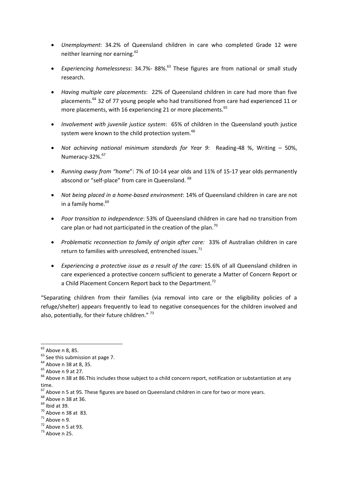- *Unemployment*: 34.2% of Queensland children in care who completed Grade 12 were neither learning nor earning.<sup>62</sup>
- Experiencing homelessness: 34.7%- 88%.<sup>63</sup> These figures are from national or small study research.
- *Having multiple care placements*: 22% of Queensland children in care had more than five placements.<sup>64</sup> 32 of 77 young people who had transitioned from care had experienced 11 or more placements, with 16 experiencing 21 or more placements.<sup>65</sup>
- *Involvement with juvenile justice system*: 65% of children in the Queensland youth justice system were known to the child protection system.<sup>66</sup>
- *Not achieving national minimum standards for Year 9*: Reading-48 %, Writing 50%, Numeracy-32%.<sup>67</sup>
- *Running away from "home*": 7% of 10-14 year olds and 11% of 15-17 year olds permanently abscond or "self-place" from care in Queensland. 68
- *Not being placed in a home-based environment*: 14% of Queensland children in care are not in a family home.<sup>69</sup>
- *Poor transition to independence*: 53% of Queensland children in care had no transition from care plan or had not participated in the creation of the plan.<sup>70</sup>
- *Problematic reconnection to family of origin after care:* 33% of Australian children in care return to families with unresolved, entrenched issues.<sup>71</sup>
- *Experiencing a protective issue as a result of the care:* 15.6% of all Queensland children in care experienced a protective concern sufficient to generate a Matter of Concern Report or a Child Placement Concern Report back to the Department.<sup>72</sup>

"Separating children from their families (via removal into care or the eligibility policies of a refuge/shelter) appears frequently to lead to negative consequences for the children involved and also, potentially, for their future children." 73

1

- $70$  Above n 38 at 83.
- $71$  Above n 9.
- $72$  Above n 5 at 93.
- $73$  Above n 25.

 $62$  Above n 8, 85.

<sup>&</sup>lt;sup>63</sup> See this submission at page 7.

<sup>&</sup>lt;sup>64</sup> Above n 38 at 8, 35.

 $65$  Above n 9 at 27.

<sup>66</sup> Above n 38 at 86.This includes those subject to a child concern report, notification or substantiation at any time.

 $67$  Above n 5 at 95. These figures are based on Queensland children in care for two or more years.

<sup>68</sup> Above n 38 at 36.

 $69$  Ibid at 39.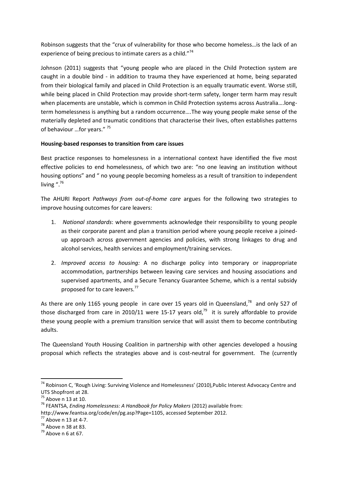Robinson suggests that the "crux of vulnerability for those who become homeless…is the lack of an experience of being precious to intimate carers as a child."74

Johnson (2011) suggests that "young people who are placed in the Child Protection system are caught in a double bind - in addition to trauma they have experienced at home, being separated from their biological family and placed in Child Protection is an equally traumatic event. Worse still, while being placed in Child Protection may provide short-term safety, longer term harm may result when placements are unstable, which is common in Child Protection systems across Australia….longterm homelessness is anything but a random occurrence….The way young people make sense of the materially depleted and traumatic conditions that characterise their lives, often establishes patterns of behaviour ...for years."<sup>75</sup>

## **Housing-based responses to transition from care issues**

Best practice responses to homelessness in a international context have identified the five most effective policies to end homelessness, of which two are: "no one leaving an institution without housing options" and " no young people becoming homeless as a result of transition to independent living ".<sup>76</sup>

The AHURI Report *Pathways from out-of-home care* argues for the following two strategies to improve housing outcomes for care leavers:

- 1. *National standards*: where governments acknowledge their responsibility to young people as their corporate parent and plan a transition period where young people receive a joinedup approach across government agencies and policies, with strong linkages to drug and alcohol services, health services and employment/training services.
- 2. *Improved access to housing:* A no discharge policy into temporary or inappropriate accommodation, partnerships between leaving care services and housing associations and supervised apartments, and a Secure Tenancy Guarantee Scheme, which is a rental subsidy proposed for to care leavers.<sup>77</sup>

As there are only 1165 young people in care over 15 years old in Queensland,<sup>78</sup> and only 527 of those discharged from care in 2010/11 were 15-17 years old, $^{79}$  it is surely affordable to provide these young people with a premium transition service that will assist them to become contributing adults.

The Queensland Youth Housing Coalition in partnership with other agencies developed a housing proposal which reflects the strategies above and is cost-neutral for government. The (currently

<sup>74</sup> Robinson C, 'Rough Living: Surviving Violence and Homelessness' (2010),Public Interest Advocacy Centre and UTS Shopfront at 28.

 $75$  Above n 13 at 10.

<sup>76</sup> FEANTSA, *Ending Homelessness: A Handbook for Policy Makers* (2012) available from:

[http://www.feantsa.org/code/en/pg.asp?Page=1105,](http://www.feantsa.org/code/en/pg.asp?Page=1105) accessed September 2012.

 $77$  Above n 13 at 4-7.

 $78$  Above n 38 at 83.

 $79$  Above n 6 at 67.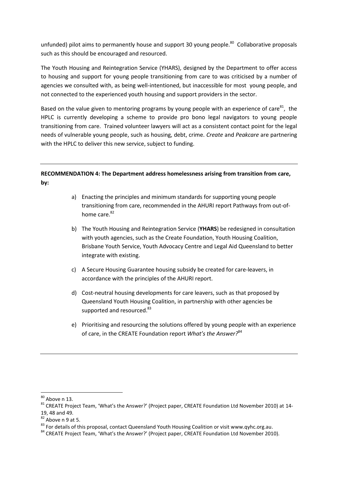unfunded) pilot aims to permanently house and support 30 young people.<sup>80</sup> Collaborative proposals such as this should be encouraged and resourced.

The Youth Housing and Reintegration Service (YHARS), designed by the Department to offer access to housing and support for young people transitioning from care to was criticised by a number of agencies we consulted with, as being well-intentioned, but inaccessible for most young people, and not connected to the experienced youth housing and support providers in the sector.

Based on the value given to mentoring programs by young people with an experience of care $^{81}$ , the HPLC is currently developing a scheme to provide pro bono legal navigators to young people transitioning from care. Trained volunteer lawyers will act as a consistent contact point for the legal needs of vulnerable young people, such as housing, debt, crime. *Create* and *Peakcare* are partnering with the HPLC to deliver this new service, subject to funding.

## **RECOMMENDATION 4: The Department address homelessness arising from transition from care, by:**

- a) Enacting the principles and minimum standards for supporting young people transitioning from care, recommended in the AHURI report Pathways from out-ofhome care.<sup>82</sup>
- b) The Youth Housing and Reintegration Service (**YHARS**) be redesigned in consultation with youth agencies, such as the Create Foundation, Youth Housing Coalition, Brisbane Youth Service, Youth Advocacy Centre and Legal Aid Queensland to better integrate with existing.
- c) A Secure Housing Guarantee housing subsidy be created for care-leavers, in accordance with the principles of the AHURI report.
- d) Cost-neutral housing developments for care leavers, such as that proposed by Queensland Youth Housing Coalition, in partnership with other agencies be supported and resourced.<sup>83</sup>
- e) Prioritising and resourcing the solutions offered by young people with an experience of care, in the CREATE Foundation report *What's the Answer?*<sup>84</sup>

 $80$  Above n 13.

<sup>&</sup>lt;sup>81</sup> CREATE Project Team, 'What's the Answer?' (Project paper, CREATE Foundation Ltd November 2010) at 14-19, 48 and 49.

 $82$  Above n 9 at 5.

<sup>83</sup> For details of this proposal, contact Queensland Youth Housing Coalition or visi[t www.qyhc.org.au.](http://www.qyhc.org.au/)

<sup>&</sup>lt;sup>84</sup> CREATE Project Team, 'What's the Answer?' (Project paper, CREATE Foundation Ltd November 2010).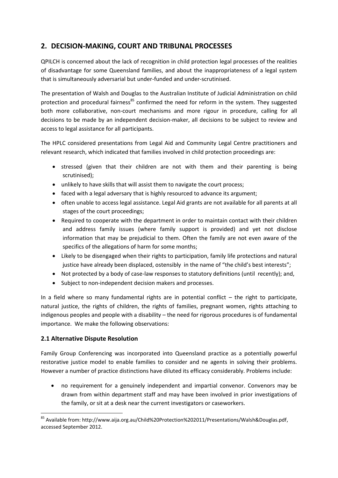## **2. DECISION-MAKING, COURT AND TRIBUNAL PROCESSES**

QPILCH is concerned about the lack of recognition in child protection legal processes of the realities of disadvantage for some Queensland families, and about the inappropriateness of a legal system that is simultaneously adversarial but under-funded and under-scrutinised.

The presentation of Walsh and Douglas to the Australian Institute of Judicial Administration on child protection and procedural fairness<sup>85</sup> confirmed the need for reform in the system. They suggested both more collaborative, non-court mechanisms and more rigour in procedure, calling for all decisions to be made by an independent decision-maker, all decisions to be subject to review and access to legal assistance for all participants.

The HPLC considered presentations from Legal Aid and Community Legal Centre practitioners and relevant research, which indicated that families involved in child protection proceedings are:

- stressed (given that their children are not with them and their parenting is being scrutinised);
- unlikely to have skills that will assist them to navigate the court process;
- faced with a legal adversary that is highly resourced to advance its argument;
- often unable to access legal assistance. Legal Aid grants are not available for all parents at all stages of the court proceedings;
- Required to cooperate with the department in order to maintain contact with their children and address family issues (where family support is provided) and yet not disclose information that may be prejudicial to them. Often the family are not even aware of the specifics of the allegations of harm for some months;
- Likely to be disengaged when their rights to participation, family life protections and natural justice have already been displaced, ostensibly in the name of "the child's best interests";
- Not protected by a body of case-law responses to statutory definitions (until recently); and,
- Subject to non-independent decision makers and processes.

In a field where so many fundamental rights are in potential conflict  $-$  the right to participate, natural justice, the rights of children, the rights of families, pregnant women, rights attaching to indigenous peoples and people with a disability – the need for rigorous procedures is of fundamental importance. We make the following observations:

## **2.1 Alternative Dispute Resolution**

Family Group Conferencing was incorporated into Queensland practice as a potentially powerful restorative justice model to enable families to consider and ne agents in solving their problems. However a number of practice distinctions have diluted its efficacy considerably. Problems include:

 no requirement for a genuinely independent and impartial convenor. Convenors may be drawn from within department staff and may have been involved in prior investigations of the family, or sit at a desk near the current investigators or caseworkers.

**<sup>.</sup>** <sup>85</sup> Available from: [http://www.aija.org.au/Child%20Protection%202011/Presentations/Walsh&Douglas.pdf,](http://www.aija.org.au/Child%20Protection%202011/Presentations/Walsh&Douglas.pdf) accessed September 2012.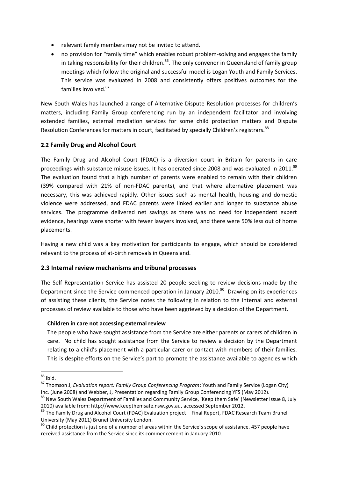- relevant family members may not be invited to attend.
- no provision for "family time" which enables robust problem-solving and engages the family in taking responsibility for their children.<sup>86</sup>. The only convenor in Queensland of family group meetings which follow the original and successful model is Logan Youth and Family Services. This service was evaluated in 2008 and consistently offers positives outcomes for the families involved.<sup>87</sup>

New South Wales has launched a range of Alternative Dispute Resolution processes for children's matters, including Family Group conferencing run by an independent facilitator and involving extended families, external mediation services for some child protection matters and Dispute Resolution Conferences for matters in court, facilitated by specially Children's registrars.<sup>88</sup>

## **2.2 Family Drug and Alcohol Court**

The Family Drug and Alcohol Court (FDAC) is a diversion court in Britain for parents in care proceedings with substance misuse issues. It has operated since 2008 and was evaluated in 2011.<sup>89</sup> The evaluation found that a high number of parents were enabled to remain with their children (39% compared with 21% of non-FDAC parents), and that where alternative placement was necessary, this was achieved rapidly. Other issues such as mental health, housing and domestic violence were addressed, and FDAC parents were linked earlier and longer to substance abuse services. The programme delivered net savings as there was no need for independent expert evidence, hearings were shorter with fewer lawyers involved, and there were 50% less out of home placements.

Having a new child was a key motivation for participants to engage, which should be considered relevant to the process of at-birth removals in Queensland.

## **2.3 Internal review mechanisms and tribunal processes**

The Self Representation Service has assisted 20 people seeking to review decisions made by the Department since the Service commenced operation in January 2010.<sup>90</sup> Drawing on its experiences of assisting these clients, the Service notes the following in relation to the internal and external processes of review available to those who have been aggrieved by a decision of the Department.

## **Children in care not accessing external review**

The people who have sought assistance from the Service are either parents or carers of children in care. No child has sought assistance from the Service to review a decision by the Department relating to a child's placement with a particular carer or contact with members of their families. This is despite efforts on the Service's part to promote the assistance available to agencies which

<sup>1</sup>  $86$  Ibid.

<sup>87</sup> Thomson J, *Evaluation report: Family Group Conferencing Program*: Youth and Family Service (Logan City) Inc. (June 2008) and Webber, J, Presentation regarding Family Group Conferencing YFS (May 2012).

<sup>&</sup>lt;sup>88</sup> New South Wales Department of Families and Community Service, 'Keep them Safe' (Newsletter Issue 8, July 2010) available from[: http://www.keepthemsafe.nsw.gov.au,](http://www.keepthemsafe.nsw.gov.au/) accessed September 2012.

<sup>89</sup> The Family Drug and Alcohol Court (FDAC) Evaluation project - Final Report, FDAC Research Team Brunel University (May 2011) Brunel University London.

 $90$  Child protection is just one of a number of areas within the Service's scope of assistance. 457 people have received assistance from the Service since its commencement in January 2010.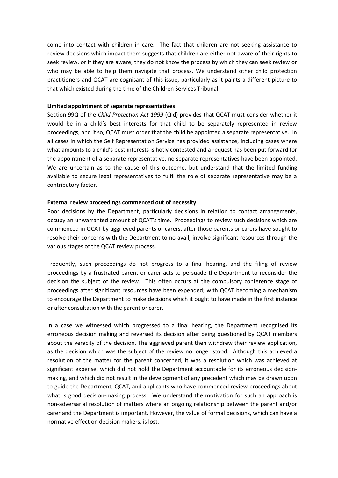come into contact with children in care. The fact that children are not seeking assistance to review decisions which impact them suggests that children are either not aware of their rights to seek review, or if they are aware, they do not know the process by which they can seek review or who may be able to help them navigate that process. We understand other child protection practitioners and QCAT are cognisant of this issue, particularly as it paints a different picture to that which existed during the time of the Children Services Tribunal.

#### **Limited appointment of separate representatives**

Section 99Q of the *Child Protection Act 1999* (Qld) provides that QCAT must consider whether it would be in a child's best interests for that child to be separately represented in review proceedings, and if so, QCAT must order that the child be appointed a separate representative. In all cases in which the Self Representation Service has provided assistance, including cases where what amounts to a child's best interests is hotly contested and a request has been put forward for the appointment of a separate representative, no separate representatives have been appointed. We are uncertain as to the cause of this outcome, but understand that the limited funding available to secure legal representatives to fulfil the role of separate representative may be a contributory factor.

#### **External review proceedings commenced out of necessity**

Poor decisions by the Department, particularly decisions in relation to contact arrangements, occupy an unwarranted amount of QCAT's time. Proceedings to review such decisions which are commenced in QCAT by aggrieved parents or carers, after those parents or carers have sought to resolve their concerns with the Department to no avail, involve significant resources through the various stages of the QCAT review process.

Frequently, such proceedings do not progress to a final hearing, and the filing of review proceedings by a frustrated parent or carer acts to persuade the Department to reconsider the decision the subject of the review. This often occurs at the compulsory conference stage of proceedings after significant resources have been expended; with QCAT becoming a mechanism to encourage the Department to make decisions which it ought to have made in the first instance or after consultation with the parent or carer.

In a case we witnessed which progressed to a final hearing, the Department recognised its erroneous decision making and reversed its decision after being questioned by QCAT members about the veracity of the decision. The aggrieved parent then withdrew their review application, as the decision which was the subject of the review no longer stood. Although this achieved a resolution of the matter for the parent concerned, it was a resolution which was achieved at significant expense, which did not hold the Department accountable for its erroneous decisionmaking, and which did not result in the development of any precedent which may be drawn upon to guide the Department, QCAT, and applicants who have commenced review proceedings about what is good decision-making process. We understand the motivation for such an approach is non-adversarial resolution of matters where an ongoing relationship between the parent and/or carer and the Department is important. However, the value of formal decisions, which can have a normative effect on decision makers, is lost.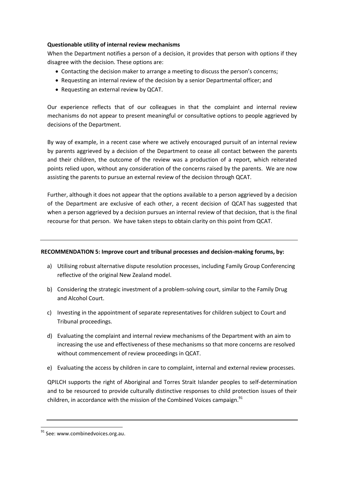#### **Questionable utility of internal review mechanisms**

When the Department notifies a person of a decision, it provides that person with options if they disagree with the decision. These options are:

- Contacting the decision maker to arrange a meeting to discuss the person's concerns;
- Requesting an internal review of the decision by a senior Departmental officer; and
- Requesting an external review by QCAT.

Our experience reflects that of our colleagues in that the complaint and internal review mechanisms do not appear to present meaningful or consultative options to people aggrieved by decisions of the Department.

By way of example, in a recent case where we actively encouraged pursuit of an internal review by parents aggrieved by a decision of the Department to cease all contact between the parents and their children, the outcome of the review was a production of a report, which reiterated points relied upon, without any consideration of the concerns raised by the parents. We are now assisting the parents to pursue an external review of the decision through QCAT.

Further, although it does not appear that the options available to a person aggrieved by a decision of the Department are exclusive of each other, a recent decision of QCAT has suggested that when a person aggrieved by a decision pursues an internal review of that decision, that is the final recourse for that person. We have taken steps to obtain clarity on this point from QCAT.

## **RECOMMENDATION 5: Improve court and tribunal processes and decision-making forums, by:**

- a) Utilising robust alternative dispute resolution processes, including Family Group Conferencing reflective of the original New Zealand model.
- b) Considering the strategic investment of a problem-solving court, similar to the Family Drug and Alcohol Court.
- c) Investing in the appointment of separate representatives for children subject to Court and Tribunal proceedings.
- d) Evaluating the complaint and internal review mechanisms of the Department with an aim to increasing the use and effectiveness of these mechanisms so that more concerns are resolved without commencement of review proceedings in QCAT.
- e) Evaluating the access by children in care to complaint, internal and external review processes.

QPILCH supports the right of Aboriginal and Torres Strait Islander peoples to self-determination and to be resourced to provide culturally distinctive responses to child protection issues of their children, in accordance with the mission of the Combined Voices campaign. $91$ 

<sup>&</sup>lt;sup>91</sup> See: [www.combinedvoices.org.au.](http://www.combinedvoices.org.au/)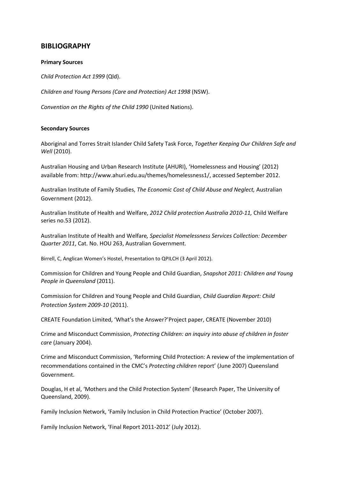## **BIBLIOGRAPHY**

#### **Primary Sources**

*Child Protection Act 1999* (Qld).

*Children and Young Persons (Care and Protection) Act 1998* (NSW).

*Convention on the Rights of the Child 1990* (United Nations).

#### **Secondary Sources**

Aboriginal and Torres Strait Islander Child Safety Task Force, *Together Keeping Our Children Safe and Well* (2010).

Australian Housing and Urban Research Institute (AHURI), 'Homelessness and Housing' (2012) available from: [http://www.ahuri.edu.au/themes/homelessness1/,](http://www.ahuri.edu.au/themes/homelessness1/) accessed September 2012.

Australian Institute of Family Studies, *The Economic Cost of Child Abuse and Neglect,* Australian Government (2012).

Australian Institute of Health and Welfare, *2012 Child protection Australia 2010-11,* Child Welfare series no.53 (2012).

Australian Institute of Health and Welfare*, Specialist Homelessness Services Collection: December Quarter 2011*, Cat. No. HOU 263, Australian Government.

Birrell, C, Anglican Women's Hostel, Presentation to QPILCH (3 April 2012).

Commission for Children and Young People and Child Guardian, *Snapshot 2011: Children and Young People in Queensland* (2011).

Commission for Children and Young People and Child Guardian, *Child Guardian Report: Child Protection System 2009-10* (2011).

CREATE Foundation Limited, 'What's the Answer?'Project paper, CREATE (November 2010)

Crime and Misconduct Commission, *Protecting Children: an inquiry into abuse of children in foster care* (January 2004).

Crime and Misconduct Commission, 'Reforming Child Protection: A review of the implementation of recommendations contained in the CMC's *Protecting children* report' (June 2007) Queensland Government.

Douglas, H et al, 'Mothers and the Child Protection System' (Research Paper, The University of Queensland, 2009).

Family Inclusion Network, 'Family Inclusion in Child Protection Practice' (October 2007).

Family Inclusion Network, 'Final Report 2011-2012' (July 2012).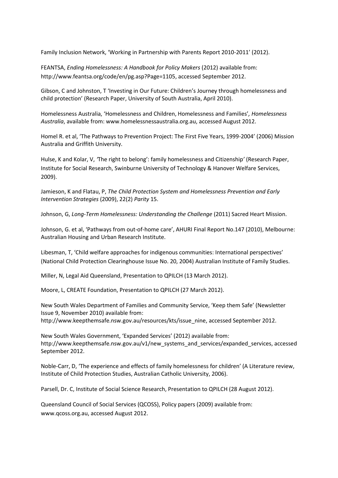Family Inclusion Network, 'Working in Partnership with Parents Report 2010-2011' (2012).

FEANTSA, *Ending Homelessness: A Handbook for Policy Makers* (2012) available from: [http://www.feantsa.org/code/en/pg.asp?Page=1105,](http://www.feantsa.org/code/en/pg.asp?Page=1105) accessed September 2012.

Gibson, C and Johnston, T 'Investing in Our Future: Children's Journey through homelessness and child protection' (Research Paper, University of South Australia, April 2010).

Homelessness Australia, 'Homelessness and Children, Homelessness and Families'*, Homelessness Australia*, available from[: www.homelessnessaustralia.org.au,](http://www.homelessnessaustralia.org.au/) accessed August 2012.

Homel R. et al, 'The Pathways to Prevention Project: The First Five Years, 1999-2004' (2006) Mission Australia and Griffith University.

Hulse, K and Kolar, V, *'*The right to belong': family homelessness and Citizenship*'* (Research Paper, Institute for Social Research, Swinburne University of Technology & Hanover Welfare Services, 2009).

Jamieson, K and Flatau, P, *The Child Protection System and Homelessness Prevention and Early Intervention Strategies* (2009), 22(2) *Parity* 15.

Johnson, G, *Long-Term Homelessness: Understanding the Challenge* (2011) Sacred Heart Mission.

Johnson, G. et al, 'Pathways from out-of-home care', AHURI Final Report No.147 (2010), Melbourne: Australian Housing and Urban Research Institute.

Libesman, T, 'Child welfare approaches for indigenous communities: International perspectives' (National Child Protection Clearinghouse Issue No. 20, 2004) Australian Institute of Family Studies.

Miller, N, Legal Aid Queensland, Presentation to QPILCH (13 March 2012).

Moore, L, CREATE Foundation, Presentation to QPILCH (27 March 2012).

New South Wales Department of Families and Community Service, 'Keep them Safe' (Newsletter Issue 9, November 2010) available from: [http://www.keepthemsafe.nsw.gov.au/resources/kts/issue\\_nine,](http://www.keepthemsafe.nsw.gov.au/resources/kts/issue_nine) accessed September 2012.

New South Wales Government, 'Expanded Services' (2012) available from: http://www.keepthemsafe.nsw.gov.au/v1/new\_systems\_and\_services/expanded\_services, accessed September 2012.

Noble-Carr, D, 'The experience and effects of family homelessness for children' (A Literature review, Institute of Child Protection Studies, Australian Catholic University, 2006).

Parsell, Dr. C, Institute of Social Science Research, Presentation to QPILCH (28 August 2012).

Queensland Council of Social Services (QCOSS), Policy papers (2009) available from: [www.qcoss.org.au,](http://www.qcoss.org.au/) accessed August 2012.